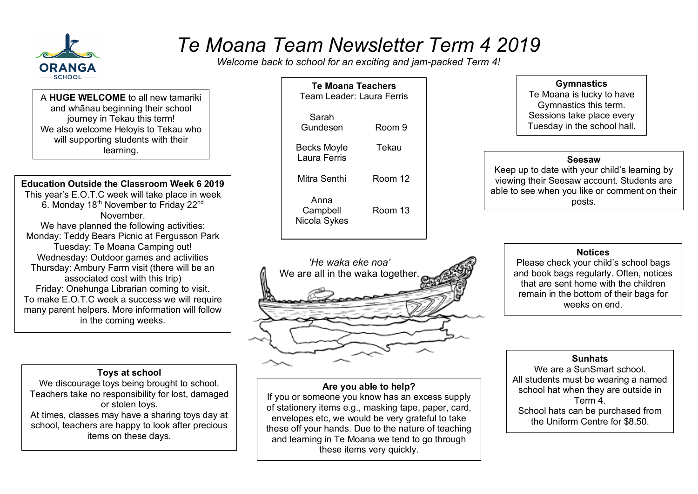

# *Te Moana Team Newsletter Term 4 2019*

*Welcome back to school for an exciting and jam-packed Term 4!*

A **HUGE WELCOME** to all new tamariki and whānau beginning their school journey in Tekau this term! We also welcome Heloyis to Tekau who will supporting students with their learning.

## **Education Outside the Classroom Week 6 2019**

This year's E.O.T.C week will take place in week 6. Monday 18<sup>th</sup> November to Friday 22<sup>nd</sup> **November** We have planned the following activities: Monday: Teddy Bears Picnic at Fergusson Park Tuesday: Te Moana Camping out! Wednesday: Outdoor games and activities

Thursday: Ambury Farm visit (there will be an associated cost with this trip) Friday: Onehunga Librarian coming to visit. To make E.O.T.C week a success we will require many parent helpers. More information will follow in the coming weeks.

## **Toys at school**

We discourage toys being brought to school. Teachers take no responsibility for lost, damaged or stolen toys. At times, classes may have a sharing toys day at school, teachers are happy to look after precious items on these days.

| <b>Te Moana Teachers</b><br>Team Leader: Laura Ferris |         |  |
|-------------------------------------------------------|---------|--|
| Sarah<br>Gundesen                                     | Room 9  |  |
| Becks Moyle<br>Laura Ferris                           | Tekau   |  |
| Mitra Senthi                                          | Room 12 |  |
| Anna<br>Campbell<br>Nicola Sykes                      | Room 13 |  |



## **Are you able to help?**

If you or someone you know has an excess supply of stationery items e.g., masking tape, paper, card, envelopes etc, we would be very grateful to take these off your hands. Due to the nature of teaching and learning in Te Moana we tend to go through these items very quickly.

**Gymnastics** Te Moana is lucky to have Gymnastics this term. Sessions take place every

Tuesday in the school hall.

#### **Seesaw**

Keep up to date with your child's learning by viewing their Seesaw account. Students are able to see when you like or comment on their posts.

#### **Notices**

Please check your child's school bags and book bags regularly. Often, notices that are sent home with the children remain in the bottom of their bags for weeks on end.

### **Sunhats**

We are a SunSmart school. All students must be wearing a named school hat when they are outside in Term 4. School hats can be purchased from the Uniform Centre for \$8.50.